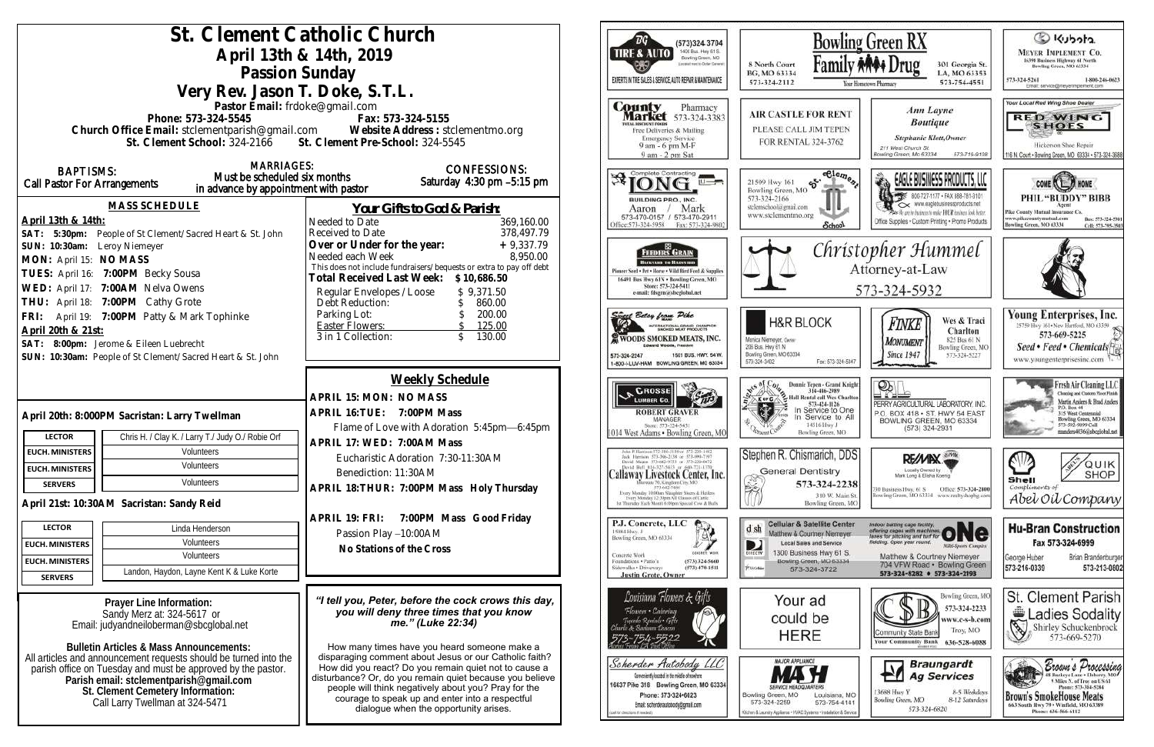| St. Clement Catholic Church<br>(573)324 3704                                                                                                                                                              |                                                                                                                  |                                                                                                                                         |                                                                                 |  |
|-----------------------------------------------------------------------------------------------------------------------------------------------------------------------------------------------------------|------------------------------------------------------------------------------------------------------------------|-----------------------------------------------------------------------------------------------------------------------------------------|---------------------------------------------------------------------------------|--|
| April 13th & 14th, 2019                                                                                                                                                                                   | 1400 Busi. Hwy 61 S.<br>TIRE & AUTO<br>Bowling Green, MO                                                         | Bow                                                                                                                                     |                                                                                 |  |
| ocalisati ment to Dichiel German<br>Passion Sunday                                                                                                                                                        |                                                                                                                  |                                                                                                                                         | Fami<br>8 North Court<br>BG, MO 63334                                           |  |
| EXPERTS IN THE SALES & SERVICE, AUTO REPAIR & MAINTENANCE<br>573-324-2112<br>Very Rev. Jason T. Doke, S.T.L.                                                                                              |                                                                                                                  |                                                                                                                                         |                                                                                 |  |
| Pastor Email: frdoke@gmail.com                                                                                                                                                                            |                                                                                                                  | <b>County</b><br>Pharmacy                                                                                                               |                                                                                 |  |
| <b>Market</b> 573-324-3383<br>Phone: 573-324-5545<br>Fax: 573-324-5155<br><b>OTAL DISCOUNT POOIS</b>                                                                                                      |                                                                                                                  |                                                                                                                                         | <b>AIR CASTLE FOR REI</b><br>PLEASE CALL JIM TEPI                               |  |
| Church Office Email: stclementparish@gmail.com Website Address: stclementmo.org<br>St. Clement School: 324-2166 St. Clement Pre-School: 324-5545<br>Free Deliveries & Mailing<br><b>Emergency Service</b> |                                                                                                                  |                                                                                                                                         |                                                                                 |  |
|                                                                                                                                                                                                           |                                                                                                                  | 9 am - 6 pm M-F<br>9 am - 2 pm Sat                                                                                                      | FOR RENTAL 324-3762                                                             |  |
| <b>MARRIAGES:</b><br><b>BAPTISMS:</b>                                                                                                                                                                     | <b>CONFESSIONS:</b>                                                                                              | Complete Contracting                                                                                                                    | eCle.                                                                           |  |
| Must be scheduled six months<br><b>Call Pastor For Arrangements</b><br>in advance by appointment with pastor                                                                                              | Saturday 4:30 pm -5:15 pm                                                                                        | 进                                                                                                                                       | $e^{\kappa}$<br>21509 Hwy 161<br>Bowling Green, MO                              |  |
| <b>MASS SCHEDULE</b>                                                                                                                                                                                      |                                                                                                                  | <b>BUILDING PRO., INC.</b>                                                                                                              | 573-324-2166<br>stelemschool@gmail.com                                          |  |
| April 13th & 14th:                                                                                                                                                                                        | Your Gifts to God & Parish:<br>Needed to Date<br>369,160.00                                                      | Mark<br>Aaron<br>573-470-0157 / 573-470-2911                                                                                            | www.stelementmo.org                                                             |  |
| SAT: 5:30pm: People of St Clement/Sacred Heart & St. John                                                                                                                                                 | 378,497.79<br>Received to Date                                                                                   | Office: 573-324-5958<br>Fax: 573-324-9802                                                                                               | <b>Schoo</b>                                                                    |  |
| SUN: 10:30am: Leroy Niemeyer                                                                                                                                                                              | $+9,337.79$<br>Over or Under for the year:                                                                       | FEEDERS GRAIN                                                                                                                           | Chr                                                                             |  |
| MON: April 15: NO MASS                                                                                                                                                                                    | Needed each Week<br>8,950.00<br>This does not include fundraisers/bequests or extra to pay off debt              | <b>BACKYARD TO BARNYARD</b><br>Pioneer Seed . Pet . Horse . Wild Bird Feed & Supplies                                                   |                                                                                 |  |
| TUES: April 16: 7:00PM Becky Sousa                                                                                                                                                                        | Total Received Last Week: \$10,686.50                                                                            | 16491 Bus Hwy 61N . Bowling Green, MO<br>Store: 573-324-5411                                                                            |                                                                                 |  |
| WED: April 17: 7:00AM Nelva Owens<br>THU: April 18: 7:00PM Cathy Grote                                                                                                                                    | Regular Envelopes / Loose<br>\$9,371.50                                                                          | e-mail: fdsgrn@sheglobal.net                                                                                                            |                                                                                 |  |
| FRI: April 19: 7:00PM Patty & Mark Tophinke                                                                                                                                                               | Debt Reduction:<br>860.00<br>200.00<br>Parking Lot:                                                              | uses Betsy from Pike                                                                                                                    |                                                                                 |  |
| April 20th & 21st:                                                                                                                                                                                        | <b>Easter Flowers:</b><br>125.00                                                                                 | <b>INTERNATIONAL GRAND CHAMPION</b>                                                                                                     | <b>H&amp;R BLOCK</b>                                                            |  |
| SAT: 8:00pm: Jerome & Eileen Luebrecht                                                                                                                                                                    | 3 in 1 Collection:<br>130.00                                                                                     | WOODS SMOKED MEATS, INC.                                                                                                                | Monica Niemeyer, Owner<br>206 Bus. Hwy 61 N                                     |  |
| SUN: 10:30am: People of St Clement/Sacred Heart & St. John                                                                                                                                                |                                                                                                                  | 573-324-2247<br>1501 BUS, HWY, 54 W.<br>1-800-I-LUV-HAM BOWLING GREEN, MO 63334                                                         | Bowling Green, MO 63334<br>573-324-3402<br>Fax: 573-32                          |  |
|                                                                                                                                                                                                           | <b>Weekly Schedule</b>                                                                                           |                                                                                                                                         |                                                                                 |  |
|                                                                                                                                                                                                           | APRIL 15: MON: NO MASS                                                                                           | CROSSE                                                                                                                                  | <b>Donnie Tepen - Grand</b><br>314-486-2989<br>Hall Rental call Wes C<br>K or C |  |
|                                                                                                                                                                                                           | APRIL 16: TUE: 7:00PM Mass                                                                                       | <b>LUMBER Co.</b><br><b>ROBERT GRAVER</b>                                                                                               | 573-424-1126<br>In Service to 0                                                 |  |
| April 20th: 8:000PM Sacristan: Larry Twellman                                                                                                                                                             | Flame of Love with Adoration 5:45pm-6:45pm                                                                       | MANAGER<br>Store: 573-324-5431                                                                                                          | Service to<br>14516 Hwy J                                                       |  |
| Chris H. / Clay K. / Larry T./ Judy O./ Robie Orf<br><b>LECTOR</b>                                                                                                                                        | APRIL 17: WED: 7:00AM Mass                                                                                       | 1014 West Adams . Bowling Green, MO                                                                                                     | Bowling Green, M                                                                |  |
| Volunteers<br><b>EUCH. MINISTERS</b>                                                                                                                                                                      | Eucharistic Adoration 7:30-11:30AM                                                                               | olat P. Harrison 373-386-5130 or 573-220-148.<br>lock Harrison 573-386-2138 or 573-994-7197<br>David Means 373-642-9751 or 373-220-0472 | Stephen R. Chismarich, I                                                        |  |
| Volunteers<br><b>EUCH. MINISTERS</b>                                                                                                                                                                      | Benediction: 11:30AM                                                                                             | David Bell 816-327-5633 or 660-T21-1370<br>Callaway Livestock Center, Inc.                                                              | <b>General Dentistry</b>                                                        |  |
| Volunteers<br><b>SERVERS</b>                                                                                                                                                                              | APRIL 18: THUR: 7:00PM Mass Holy Thursday                                                                        | Haroata 70, Kingdom City, MO<br>573-642-7486<br>Every Monday 10:00am Slaughter Steers & Heilers                                         | 573-324-2<br>険<br>310 W. M.                                                     |  |
| April 21st: 10:30AM Sacristan: Sandy Reid                                                                                                                                                                 |                                                                                                                  | Every Monday, 12:30pm All Classes of Cattle<br>et Thursday Each Month 6:00pm Special Cow & Hull-                                        | <b>Bowling Gree</b>                                                             |  |
| <b>LECTOR</b><br>Linda Henderson                                                                                                                                                                          | APRIL 19: FRI: 7:00PM Mass Good Friday                                                                           | P.J. Concrete, LLC                                                                                                                      | <b>Cellular &amp; Satellite Ce</b><br>d sh                                      |  |
| Volunteers<br><b>EUCH. MINISTERS</b>                                                                                                                                                                      | Passion Play -10:00AM                                                                                            | 15084 Hwy. J<br>Bowling Green, MO 63334                                                                                                 | Matthew & Courtney Nieme<br><b>Local Sales and Service</b><br>D                 |  |
| Volunteers<br><b>EUCH. MINISTERS</b>                                                                                                                                                                      | No Stations of the Cross                                                                                         | <b>CALBER WORK</b><br>Concrete Work<br>Foundations . Patio's<br>$(573)$ 324-5660                                                        | 1300 Business Hwy 61<br>DIRECTY<br>Bowling Green, MO 633                        |  |
| Landon, Haydon, Layne Kent K & Luke Korte<br><b>SERVERS</b>                                                                                                                                               |                                                                                                                  | Sidewalks + Driveways<br>$(573)$ 470-1511<br><b>Justin Grote, Owner</b>                                                                 | P.UKGMar<br>573-324-3722                                                        |  |
|                                                                                                                                                                                                           |                                                                                                                  |                                                                                                                                         |                                                                                 |  |
| Prayer Line Information:                                                                                                                                                                                  | "I tell you, Peter, before the cock crows this day,                                                              | Louisiana Flowers & Gifts<br>Flowers • Catering                                                                                         | Your ad                                                                         |  |
| Sandy Merz at: 324-5617 or<br>Email: judyandneiloberman@sbcglobal.net                                                                                                                                     | you will deny three times that you know<br>me." (Luke 22:34)                                                     | Tuxedo Rentals • Gifts<br>Aarlie & Barkura Desenn                                                                                       | could be                                                                        |  |
|                                                                                                                                                                                                           |                                                                                                                  |                                                                                                                                         | <b>HERE</b>                                                                     |  |
| <b>Bulletin Articles &amp; Mass Announcements:</b><br>All articles and announcement requests should be turned into the                                                                                    | How many times have you heard someone make a<br>disparaging comment about Jesus or our Catholic faith?           |                                                                                                                                         |                                                                                 |  |
| parish office on Tuesday and must be approved by the pastor.                                                                                                                                              | How did you react? Do you remain quiet not to cause a                                                            | Scherder Autobody LLC<br>Conveniently located in the middle of nowhere                                                                  | <b>MAJOR APPLIANCE</b>                                                          |  |
| Parish email: stclementparish@gmail.com                                                                                                                                                                   | disturbance? Or, do you remain quiet because you believe<br>people will think negatively about you? Pray for the | 16637 Pike 318 Bowling Green, MO 63334                                                                                                  |                                                                                 |  |
| St. Clement Cemetery Information:<br>Call Larry Twellman at 324-5471                                                                                                                                      | courage to speak up and enter into a respectful                                                                  | Phone: 573-324-6023<br>Email: scherderautobody@gmail.com                                                                                | Bowling Green, MO<br>Louisiana<br>$573 - 754 -$<br>573-324-2259                 |  |
|                                                                                                                                                                                                           | dialogue when the opportunity arises.                                                                            | (call for chiectors if revolve).                                                                                                        | Olchen & Laundry Applance - HVAC Systems - Installation &                       |  |
|                                                                                                                                                                                                           |                                                                                                                  |                                                                                                                                         |                                                                                 |  |